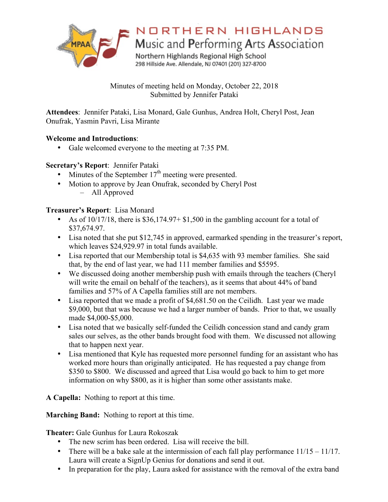

NORTHERN HIGHLANDS

Music and Performing Arts Association

Northern Highlands Regional High School 298 Hillside Ave. Allendale, NJ 07401 (201) 327-8700

Minutes of meeting held on Monday, October 22, 2018 Submitted by Jennifer Pataki

**Attendees**: Jennifer Pataki, Lisa Monard, Gale Gunhus, Andrea Holt, Cheryl Post, Jean Onufrak, Yasmin Pavri, Lisa Mirante

### **Welcome and Introductions**:

• Gale welcomed everyone to the meeting at 7:35 PM.

## **Secretary's Report**: Jennifer Pataki

- Minutes of the September  $17<sup>th</sup>$  meeting were presented.
- Motion to approve by Jean Onufrak, seconded by Cheryl Post – All Approved

## **Treasurer's Report**: Lisa Monard

- As of 10/17/18, there is \$36,174.97+ \$1,500 in the gambling account for a total of \$37,674.97.
- Lisa noted that she put \$12,745 in approved, earmarked spending in the treasurer's report, which leaves \$24,929.97 in total funds available.
- Lisa reported that our Membership total is \$4,635 with 93 member families. She said that, by the end of last year, we had 111 member families and \$5595.
- We discussed doing another membership push with emails through the teachers (Cheryl will write the email on behalf of the teachers), as it seems that about 44% of band families and 57% of A Capella families still are not members.
- Lisa reported that we made a profit of \$4,681.50 on the Ceilidh. Last year we made \$9,000, but that was because we had a larger number of bands. Prior to that, we usually made \$4,000-\$5,000.
- Lisa noted that we basically self-funded the Ceilidh concession stand and candy gram sales our selves, as the other bands brought food with them. We discussed not allowing that to happen next year.
- Lisa mentioned that Kyle has requested more personnel funding for an assistant who has worked more hours than originally anticipated. He has requested a pay change from \$350 to \$800. We discussed and agreed that Lisa would go back to him to get more information on why \$800, as it is higher than some other assistants make.

**A Capella:** Nothing to report at this time.

**Marching Band:** Nothing to report at this time.

**Theater:** Gale Gunhus for Laura Rokoszak

- The new scrim has been ordered. Lisa will receive the bill.
- There will be a bake sale at the intermission of each fall play performance  $11/15 11/17$ . Laura will create a SignUp Genius for donations and send it out.
- In preparation for the play, Laura asked for assistance with the removal of the extra band